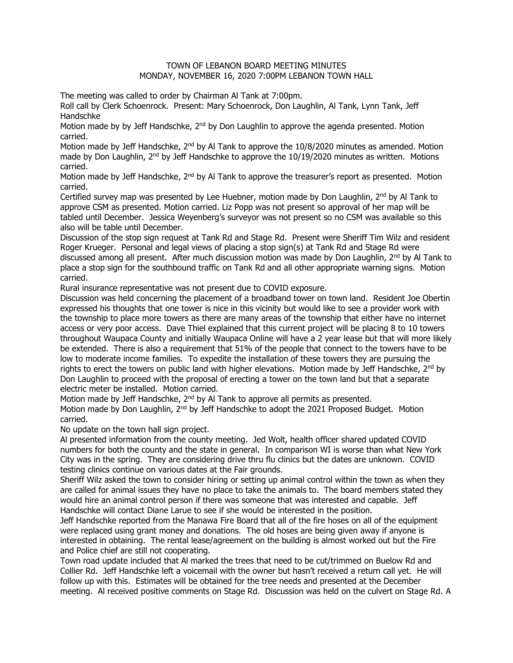## TOWN OF LEBANON BOARD MEETING MINUTES MONDAY, NOVEMBER 16, 2020 7:00PM LEBANON TOWN HALL

The meeting was called to order by Chairman Al Tank at 7:00pm.

Roll call by Clerk Schoenrock. Present: Mary Schoenrock, Don Laughlin, Al Tank, Lynn Tank, Jeff Handschke

Motion made by by Jeff Handschke, 2<sup>nd</sup> by Don Laughlin to approve the agenda presented. Motion carried.

Motion made by Jeff Handschke,  $2<sup>nd</sup>$  by Al Tank to approve the 10/8/2020 minutes as amended. Motion made by Don Laughlin,  $2^{nd}$  by Jeff Handschke to approve the 10/19/2020 minutes as written. Motions carried.

Motion made by Jeff Handschke, 2<sup>nd</sup> by Al Tank to approve the treasurer's report as presented. Motion carried.

Certified survey map was presented by Lee Huebner, motion made by Don Laughlin,  $2<sup>nd</sup>$  by Al Tank to approve CSM as presented. Motion carried. Liz Popp was not present so approval of her map will be tabled until December. Jessica Weyenberg's surveyor was not present so no CSM was available so this also will be table until December.

Discussion of the stop sign request at Tank Rd and Stage Rd. Present were Sheriff Tim Wilz and resident Roger Krueger. Personal and legal views of placing a stop sign(s) at Tank Rd and Stage Rd were discussed among all present. After much discussion motion was made by Don Laughlin, 2nd by Al Tank to place a stop sign for the southbound traffic on Tank Rd and all other appropriate warning signs. Motion carried.

Rural insurance representative was not present due to COVID exposure.

Discussion was held concerning the placement of a broadband tower on town land. Resident Joe Obertin expressed his thoughts that one tower is nice in this vicinity but would like to see a provider work with the township to place more towers as there are many areas of the township that either have no internet access or very poor access. Dave Thiel explained that this current project will be placing 8 to 10 towers throughout Waupaca County and initially Waupaca Online will have a 2 year lease but that will more likely be extended. There is also a requirement that 51% of the people that connect to the towers have to be low to moderate income families. To expedite the installation of these towers they are pursuing the rights to erect the towers on public land with higher elevations. Motion made by Jeff Handschke,  $2^{nd}$  by Don Laughlin to proceed with the proposal of erecting a tower on the town land but that a separate electric meter be installed. Motion carried.

Motion made by Jeff Handschke,  $2<sup>nd</sup>$  by Al Tank to approve all permits as presented. Motion made by Don Laughlin, 2<sup>nd</sup> by Jeff Handschke to adopt the 2021 Proposed Budget. Motion carried.

No update on the town hall sign project.

Al presented information from the county meeting. Jed Wolt, health officer shared updated COVID numbers for both the county and the state in general. In comparison WI is worse than what New York City was in the spring. They are considering drive thru flu clinics but the dates are unknown. COVID testing clinics continue on various dates at the Fair grounds.

Sheriff Wilz asked the town to consider hiring or setting up animal control within the town as when they are called for animal issues they have no place to take the animals to. The board members stated they would hire an animal control person if there was someone that was interested and capable. Jeff Handschke will contact Diane Larue to see if she would be interested in the position.

Jeff Handschke reported from the Manawa Fire Board that all of the fire hoses on all of the equipment were replaced using grant money and donations. The old hoses are being given away if anyone is interested in obtaining. The rental lease/agreement on the building is almost worked out but the Fire and Police chief are still not cooperating.

Town road update included that Al marked the trees that need to be cut/trimmed on Buelow Rd and Collier Rd. Jeff Handschke left a voicemail with the owner but hasn't received a return call yet. He will follow up with this. Estimates will be obtained for the tree needs and presented at the December meeting. Al received positive comments on Stage Rd. Discussion was held on the culvert on Stage Rd. A